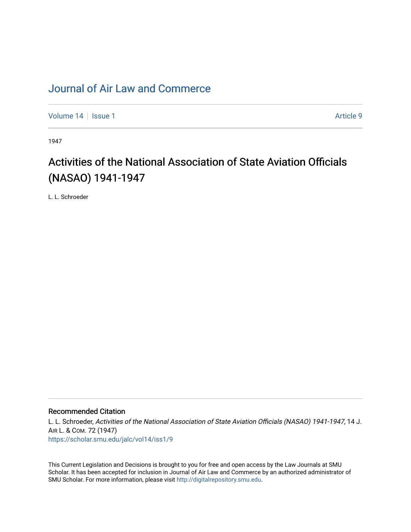# [Journal of Air Law and Commerce](https://scholar.smu.edu/jalc)

[Volume 14](https://scholar.smu.edu/jalc/vol14) | [Issue 1](https://scholar.smu.edu/jalc/vol14/iss1) Article 9

1947

# Activities of the National Association of State Aviation Officials (NASAO) 1941-1947

L. L. Schroeder

### Recommended Citation

L. L. Schroeder, Activities of the National Association of State Aviation Officials (NASAO) 1941-1947, 14 J. AIR L. & COM. 72 (1947) [https://scholar.smu.edu/jalc/vol14/iss1/9](https://scholar.smu.edu/jalc/vol14/iss1/9?utm_source=scholar.smu.edu%2Fjalc%2Fvol14%2Fiss1%2F9&utm_medium=PDF&utm_campaign=PDFCoverPages) 

This Current Legislation and Decisions is brought to you for free and open access by the Law Journals at SMU Scholar. It has been accepted for inclusion in Journal of Air Law and Commerce by an authorized administrator of SMU Scholar. For more information, please visit [http://digitalrepository.smu.edu](http://digitalrepository.smu.edu/).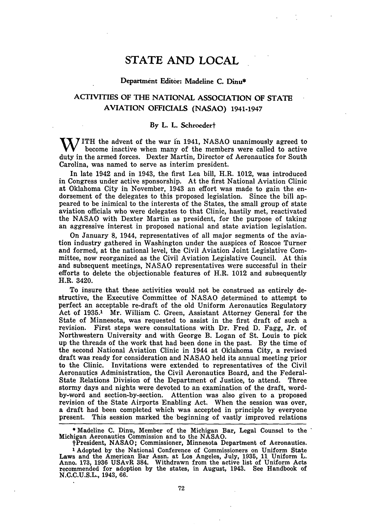## **STATE AND LOCAL**

### **Department Editor: Madeline C. Dinu\***

## **ACTIVITIES OF THE NATIONAL ASSOCIATION OF STATE AVIATION OFFICIALS (NASAO) 1941-1947**

#### **By L. L. Schroedert**

**W** ITH the advent **of** the war in 1941, NASAO unanimously agreed to become inactive when many of the members were called to active duty in the armed forces. Dexter Martin, Director of Aeronautics for South Carolina, was named to serve as interim president.

In late 1942 and in 1943, the first Lea bill, H.R. 1012, was introduced in Congress under active sponsorship. At the first National Aviation Clinic at Oklahoma City in November, 1943 an effort was made to gain the endorsement of the delegates to this proposed legislation. Since the bill appeared to be inimical to the interests of the States, the small group of state aviation officials who were delegates to that Clinic, hastily met, reactivated the NASAO with Dexter Martin as president, for the purpose of taking an aggressive interest in proposed national and state aviation legislation.

On January 8, 1944, representatives of all major segments of the aviation industry gathered in Washington under the auspices of Roscoe Turner and formed, at the national level, the Civil Aviation Joint Legislative Committee, now reorganized as the Civil Aviation Legislative Council. At this and subsequent meetings, NASAO representatives were successful in their efforts to delete the objectionable features of H.R. 1012 and subsequently H.R. 3420.

To insure that these activities would not be construed as entirely destructive, the Executive Committee of NASAO determined to attempt to perfect an acceptable re-draft of the old Uniform Aeronautics Regulatory Act of 1935.1 Mr. William C. Green, Assistant Attorney General for the State of Minnesota, was requested to assist in the first draft of such a revision. First steps were consultations with Dr. Fred D. Fagg, Jr. of Northwestern University and with George B. Logan of St. Louis to pick up the threads of the work that had been done in the past. By the time of the second National Aviation Clinic in 1944 at Oklahoma City, a revised draft was ready for consideration and NASAO held its annual meeting prior to the Clinic. Invitations were extended to representatives of the Civil Aeronautics Administration, the Civil Aeronautics Board, and the Federal-State Relations Division of the Department of Justice, to attend. Three stormy days and nights were devoted to an examination of the draft, wordby-word and section-by-section. Attention was also given to a proposed revision of the State Airports Enabling Act. When the session was over, a draft had been completed which was accepted in principle by everyone present. This session marked the beginning of vastly improved relations

**\*** Madeline **C.** Dinu, Member of the Michigan Bar, Legal Counsel to the **"** Michigan Aeronautics Commission and to the NASAO.

tPresident, NASAO; Commissioner, Minnesota Department of Aeronautics.

**1** Adopted by the National Conference of Commissioners on Uniform State Laws and the American Bar Assn. at Los Angeles, July, **1935,** 11 Uniform L. Anno. **173,** 1936 USAvR 384. Withdrawn from the active list of Uniform Acts recommended for adoption by the states, in August, 1943. See Handbook of N.C.C.U.S.L., 1943, 66.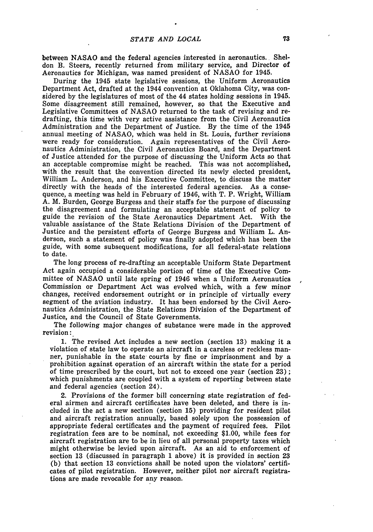between **NASAO** and the federal agencies interested in aeronautics. Sheldon B. Steers, recently returned from military service, and Director of Aeronautics for Michigan, was named president of **NASAO** for 1945.

During the 1945 state legislative sessions, the Uniform Aeronautics Department Act, drafted at the 1944 convention at Oklahoma City, was considered **by** the legislatures of most of the 44 states holding sessions in 1945. Some disagreement still remained, however, so that the Executive and Legislative Committees of **NASAO** returned to the task of revising and redrafting, this time with very active assistance from the Civil Aeronautics Administration and the Department of Justice. **By** the time of the 1945 annual meeting of **NASAO,** which was held in St. Louis, further revisions were ready for consideration. Again representatives of the Civil Aeronautics Administration, the Civil Aeronautics Board, and the Department of Justice attended for the purpose of discussing the Uniform Acts so that an acceptable compromise might be reached. This was not accomplished, with the result that the convention directed its newly elected president, William L. Anderson, and his Executive Committee, to discuss the matter directly with the heads of the interested federal agencies. As a consequence, a meeting was held in February of 1946, with T. P. Wright, William **A.** M. Burden, George Burgess and their staffs for the purpose of discussing the disagreement and formulating an acceptable statement of policy to guide the revision of the State Aeronautics Department Act. With the valuable assistance of the State Relations Division of the Department of Justice and the persistent efforts of George Burgess and William L. Anderson, such a statement of policy was finally adopted which has been the guide, with some subsequent modifications, for all federal-state relations to date.

The long process of re-drafting an acceptable Uniform State Department Act again occupied a considerable portion of time of the Executive Committee of **NASAO** until late spring of 1946 when a Uniform Aeronautics Commission or Department Act was evolved which, with a few minor changes, received endorsement outright or in principle of virtually every segment of the aviation industry. It has been endorsed **by** the Civil Aeronautics Administration, the State Relations Division of the Department of Justice, and the Council of State Governments.

The following major changes of substance were made in the approved revision:

**1.** The revised Act includes a new section (section **13)** making it a violation of state law to operate an aircraft in a careless or reckless manner, punishable in the state courts **by** fine or imprisonment and **by** a prohibition against operation of an aircraft within the state for a period of time prescribed **by** the court, but not to exceed one year (section **23) ;** which punishments are coupled with a system of reporting between state and federal agencies (section 24).

2. Provisions of the former bill concerning state registration of federal airmen and aircraft certificates have been deleted, and there is included in the act a new section (section **15)** providing for resident pilot and aircraft registration annually, based solely upon the possession of appropriate federal certificates and the payment of required fees. Pilot registration fees are to be nominal, not exceeding **\$1.00,** while fees for aircraft registration are to be in lieu of all personal property taxes which might otherwise be levied upon aircraft. As an aid to enforcement of section **13** (discussed in paragraph **1** above) it is provided in section **23 (b)** that section **13** convictions shall be noted upon the violators' certificates of pilot registration. However, neither pilot nor aircraft registrations are made revocable for any reason.